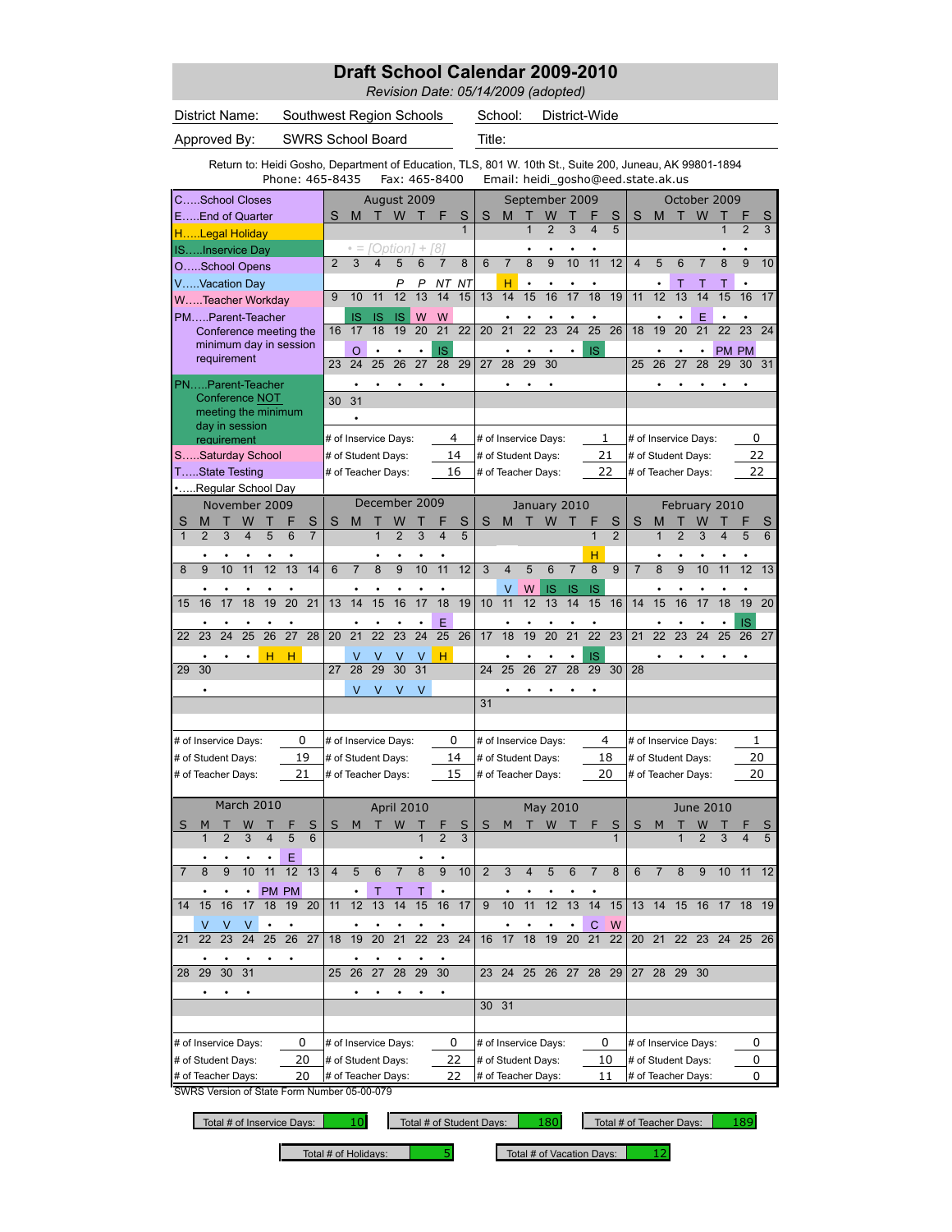| Draft School Calendar 2009-2010<br>Revision Date: 05/14/2009 (adopted) |                                                                                      |                                                                                                                                               |                                                              |                        |  |  |  |  |  |  |  |  |  |  |  |
|------------------------------------------------------------------------|--------------------------------------------------------------------------------------|-----------------------------------------------------------------------------------------------------------------------------------------------|--------------------------------------------------------------|------------------------|--|--|--|--|--|--|--|--|--|--|--|
| District Name:                                                         | Southwest Region Schools                                                             | School:<br>District-Wide                                                                                                                      |                                                              |                        |  |  |  |  |  |  |  |  |  |  |  |
| Approved By:                                                           | <b>SWRS School Board</b>                                                             | Title:                                                                                                                                        |                                                              |                        |  |  |  |  |  |  |  |  |  |  |  |
| Phone: 465-8435                                                        | Fax: 465-8400                                                                        | Return to: Heidi Gosho, Department of Education, TLS, 801 W. 10th St., Suite 200, Juneau, AK 99801-1894<br>Email: heidi_gosho@eed.state.ak.us |                                                              |                        |  |  |  |  |  |  |  |  |  |  |  |
| CSchool Closes                                                         | August 2009                                                                          | September 2009                                                                                                                                | October 2009                                                 |                        |  |  |  |  |  |  |  |  |  |  |  |
| EEnd of Quarter                                                        | S<br>S<br>M<br>T W<br>F<br>ш                                                         | S<br>W<br>S<br>M                                                                                                                              | W<br>S<br>M<br>т<br>т                                        | S                      |  |  |  |  |  |  |  |  |  |  |  |
| HLegal Holiday                                                         | $\mathbf{1}$<br>$\cdot =$                                                            | $\mathbf{1}$<br>$\overline{2}$<br>3<br>$\overline{\mathbf{4}}$<br>5                                                                           | $\mathbf{1}$                                                 | $\overline{2}$<br>3    |  |  |  |  |  |  |  |  |  |  |  |
| ISInservice Day<br>OSchool Opens                                       | Option<br>$\overline{2}$<br>5<br>8<br>3<br>$\overline{4}$<br>6<br>$\overline{7}$     | $\overline{7}$<br>8<br>9<br>12<br>6<br>10<br>11                                                                                               | 5<br>6<br>$\overline{7}$<br>8<br>$\overline{4}$              | 9<br>10                |  |  |  |  |  |  |  |  |  |  |  |
| VVacation Day                                                          | NT NT                                                                                | н<br>٠                                                                                                                                        | Т<br>Т<br>т                                                  |                        |  |  |  |  |  |  |  |  |  |  |  |
| WTeacher Workday                                                       | 12<br>13<br>14<br>15<br>9<br>10<br>11                                                | 14<br>16<br>18<br>19<br>13<br>15<br>17                                                                                                        | 13<br>14<br>15<br>11<br>12                                   | 16<br>17               |  |  |  |  |  |  |  |  |  |  |  |
| PMParent-Teacher                                                       | W<br>IS<br>IS<br>IS<br>W<br>$\overline{22}$<br>16<br>17<br>18<br>19<br>20<br>21      | $\overline{22}$<br>23<br>24<br>$\overline{25}$<br>26<br>20<br>21                                                                              | Е<br>18<br>19<br>20<br>21<br>22                              | 23<br>24               |  |  |  |  |  |  |  |  |  |  |  |
| Conference meeting the<br>minimum day in session                       |                                                                                      |                                                                                                                                               |                                                              |                        |  |  |  |  |  |  |  |  |  |  |  |
| requirement                                                            | IS<br>O<br>29<br>23<br>24<br>25<br>26<br>27<br>28                                    | <b>IS</b><br>30<br>27<br>28<br>29                                                                                                             | PM.<br>27<br>28<br>25<br>26<br>29                            | <b>PM</b><br>30<br>31  |  |  |  |  |  |  |  |  |  |  |  |
| PNParent-Teacher                                                       |                                                                                      |                                                                                                                                               |                                                              |                        |  |  |  |  |  |  |  |  |  |  |  |
| Conference NOT                                                         | 31<br>30                                                                             |                                                                                                                                               |                                                              |                        |  |  |  |  |  |  |  |  |  |  |  |
| meeting the minimum<br>day in session                                  | $\bullet$                                                                            |                                                                                                                                               |                                                              |                        |  |  |  |  |  |  |  |  |  |  |  |
| requirement                                                            | # of Inservice Days:<br>4                                                            | # of Inservice Days:<br>1                                                                                                                     | # of Inservice Days:                                         | 0                      |  |  |  |  |  |  |  |  |  |  |  |
| SSaturday School<br>TState Testing                                     | 14<br># of Student Days:<br>16<br># of Teacher Days:                                 | 21<br># of Student Days:<br># of Teacher Days:<br>22                                                                                          | # of Student Days:<br># of Teacher Days:                     | 22<br>22               |  |  |  |  |  |  |  |  |  |  |  |
| Reqular School Dav                                                     |                                                                                      |                                                                                                                                               |                                                              |                        |  |  |  |  |  |  |  |  |  |  |  |
| November 2009                                                          | December 2009                                                                        | January 2010                                                                                                                                  | February 2010                                                |                        |  |  |  |  |  |  |  |  |  |  |  |
| w<br>S<br>S<br>M<br>$\overline{2}$<br>3<br>$\mathbf{1}$                | S<br>S<br>M<br>W<br>$\mathfrak{p}$<br>5<br>$\overline{4}$                            | S<br>S<br>W<br>м<br>$\overline{2}$                                                                                                            | S<br>W<br>М<br>3<br>$\mathbf{1}$                             | S                      |  |  |  |  |  |  |  |  |  |  |  |
| 5<br>$\overline{4}$<br>6<br>$\overline{7}$                             | 3<br>1                                                                               | $\mathbf{1}$                                                                                                                                  | $\overline{2}$                                               | 6                      |  |  |  |  |  |  |  |  |  |  |  |
| 12<br>14<br>8<br>9<br>10<br>11<br>13                                   | 8<br>9<br>12<br>6<br>$\overline{7}$<br>10<br>11                                      | н<br>5<br>$\overline{7}$<br>8<br>3<br>6<br>9<br>$\overline{4}$                                                                                | $\overline{7}$<br>8<br>9<br>10<br>11                         | 12<br>13               |  |  |  |  |  |  |  |  |  |  |  |
|                                                                        |                                                                                      | W<br>V<br>IS<br><b>IS</b><br>IS                                                                                                               |                                                              |                        |  |  |  |  |  |  |  |  |  |  |  |
| 19<br>$\overline{20}$<br>$\overline{21}$<br>17<br>16<br>18<br>15       | 16<br>18<br>19<br>13<br>17<br>14<br>15                                               | 10<br>11<br>13<br>12<br>14<br>15<br>16                                                                                                        | 18<br>14<br>15<br>16<br>17                                   | 19<br>$\overline{20}$  |  |  |  |  |  |  |  |  |  |  |  |
| $\overline{26}$<br>$\overline{27}$<br>23<br>24<br>25<br>28<br>22       | E<br>24<br>$\overline{22}$<br>23<br>$\overline{25}$<br>26<br>20<br>21                | 19<br>$\overline{21}$<br>$\overline{22}$<br>23<br>18<br>20<br>17                                                                              | $\bullet$<br>23<br>21<br>22<br>24<br>25                      | IS<br>26<br>27         |  |  |  |  |  |  |  |  |  |  |  |
| H<br>H<br>$\bullet$                                                    | $\vee$<br>н<br>V<br>V<br>V                                                           | <b>IS</b><br>$\bullet$                                                                                                                        |                                                              |                        |  |  |  |  |  |  |  |  |  |  |  |
| 30<br>29                                                               | 28<br>29<br>30<br>31<br>27                                                           | 25<br>26<br>27<br>28<br>29<br>24<br>30                                                                                                        | 28                                                           |                        |  |  |  |  |  |  |  |  |  |  |  |
|                                                                        | $\vee$<br>$\vee$<br>$\vee$<br>V                                                      |                                                                                                                                               |                                                              |                        |  |  |  |  |  |  |  |  |  |  |  |
|                                                                        |                                                                                      | 31                                                                                                                                            |                                                              |                        |  |  |  |  |  |  |  |  |  |  |  |
|                                                                        |                                                                                      |                                                                                                                                               |                                                              |                        |  |  |  |  |  |  |  |  |  |  |  |
| 0<br># of Inservice Days:<br>19<br># of Student Days:                  | 0<br># of Inservice Days:<br>14<br># of Student Days:                                | 4<br># of Inservice Days:<br>18<br># of Student Days:                                                                                         | # of Inservice Days:<br># of Student Days:                   | 1<br>20                |  |  |  |  |  |  |  |  |  |  |  |
| 21<br># of Teacher Days:                                               | 15<br># of Teacher Days:                                                             | 20<br># of Teacher Days:                                                                                                                      | 20<br># of Teacher Days:                                     |                        |  |  |  |  |  |  |  |  |  |  |  |
|                                                                        |                                                                                      |                                                                                                                                               |                                                              |                        |  |  |  |  |  |  |  |  |  |  |  |
| March 2010                                                             | April 2010                                                                           | May 2010                                                                                                                                      | June 2010                                                    |                        |  |  |  |  |  |  |  |  |  |  |  |
| S<br>W<br>т<br>Т<br>S<br>M<br>F<br>4<br>5<br>$\overline{2}$<br>6       | M<br>т<br>W<br>S<br>т<br>F<br>$\overline{S}$<br>$\overline{2}$<br>3<br>1             | T W T<br>M<br>F<br>S<br>$\mathbf{1}$                                                                                                          | S<br>Τ<br>W<br>M<br>T<br>$\overline{2}$<br>$\mathbf{1}$<br>3 | $\mathsf{P}$<br>4<br>5 |  |  |  |  |  |  |  |  |  |  |  |
| Ε                                                                      |                                                                                      |                                                                                                                                               |                                                              |                        |  |  |  |  |  |  |  |  |  |  |  |
| $\overline{9}$<br>11<br>8<br>10<br>12<br>13<br>$\overline{7}$          | $\overline{8}$<br>$\overline{9}$<br>$\overline{4}$<br>$\overline{7}$<br>10<br>5<br>6 | $\overline{2}$<br>3<br>6<br>$\overline{7}$<br>8<br>$\overline{4}$<br>5                                                                        | 6<br>$\overline{7}$<br>8<br>9<br>10                          | 11<br>12               |  |  |  |  |  |  |  |  |  |  |  |
| PM PM                                                                  | Τ<br>Τ<br>٠                                                                          |                                                                                                                                               |                                                              |                        |  |  |  |  |  |  |  |  |  |  |  |
| 18<br>15<br>16<br>17<br>19<br>20<br>14                                 | 11<br>12<br>15<br>17<br>13<br>14<br>16                                               | 10<br>11<br>12<br>13<br>14<br>9<br>15                                                                                                         | 13 14 15 16 17 18 19                                         |                        |  |  |  |  |  |  |  |  |  |  |  |
| $\overline{26}$<br>$\overline{27}$<br>22<br>23<br>25<br>21<br>24       | 23<br>24<br>19<br>$\overline{20}$<br>21<br>$\overline{22}$<br>18                     | W<br>17<br>18<br>20<br>19<br>21<br>16<br>22                                                                                                   | $20$ 21<br>22 23 24 25 26                                    |                        |  |  |  |  |  |  |  |  |  |  |  |
|                                                                        |                                                                                      |                                                                                                                                               |                                                              |                        |  |  |  |  |  |  |  |  |  |  |  |
| 30<br>28<br>29<br>31                                                   | 28<br>29<br>25<br>26<br>27<br>30                                                     | 24<br>25 26 27<br>28<br>29<br>23                                                                                                              | 29<br>27<br>28<br>30                                         |                        |  |  |  |  |  |  |  |  |  |  |  |
| ٠<br>٠                                                                 | $\bullet$                                                                            |                                                                                                                                               |                                                              |                        |  |  |  |  |  |  |  |  |  |  |  |
|                                                                        |                                                                                      | 31<br>30                                                                                                                                      |                                                              |                        |  |  |  |  |  |  |  |  |  |  |  |
| 0<br># of Inservice Days:                                              | 0<br># of Inservice Days:                                                            | # of Inservice Days:<br>0                                                                                                                     | # of Inservice Days:                                         | 0                      |  |  |  |  |  |  |  |  |  |  |  |
| # of Student Days:<br>20                                               | # of Student Days:<br>22                                                             | # of Student Days:<br>10                                                                                                                      | # of Student Days:                                           | 0                      |  |  |  |  |  |  |  |  |  |  |  |
| # of Teacher Days:<br>20                                               | # of Teacher Days:<br>22                                                             | # of Teacher Days:<br>11                                                                                                                      | # of Teacher Days:                                           | 0                      |  |  |  |  |  |  |  |  |  |  |  |

SWRS Version of State Form Number 05-00-079

Total # of Inservice Days: 10 Total # of Student Days: 180 Total # of Teacher Days: 189

Total # of Holidays:  $\begin{array}{|c|c|c|c|c|c|}\n\hline\n\text{Total $\#$ of vacation Davis:} & 12\n\end{array}$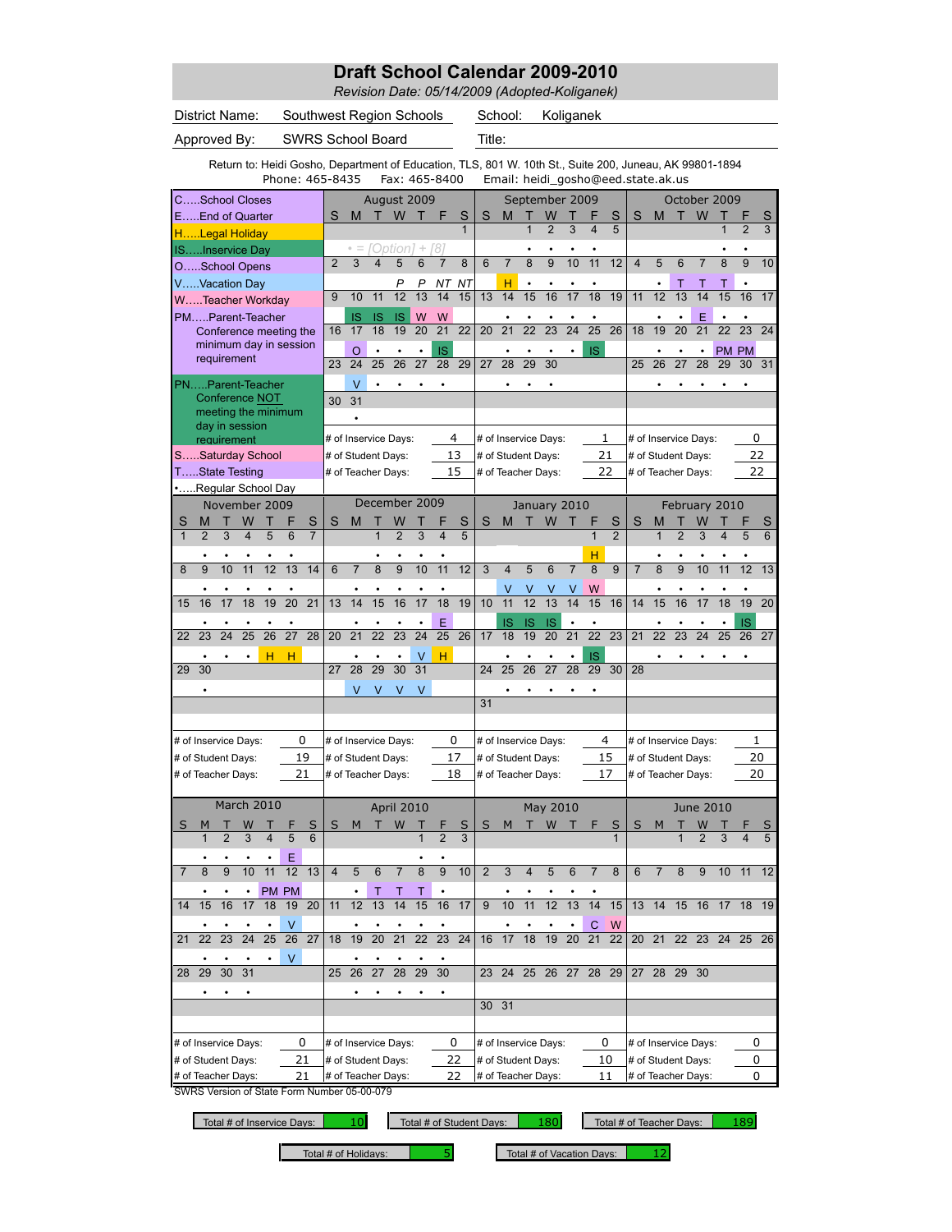## **Draft School Calendar 2009-2010**

*Revision Date: 05/14/2009 (Adopted-Koliganek)*

| revision Date. 03/14/2009 (Adopted-Kollganek)                                                           |                                    |                                                  |                      |                                          |                                          |                    |                |                 |                 |                                    |                                                    |                 |                    |                 |                         |                           |                      |                          |                |    |                |                 |  |
|---------------------------------------------------------------------------------------------------------|------------------------------------|--------------------------------------------------|----------------------|------------------------------------------|------------------------------------------|--------------------|----------------|-----------------|-----------------|------------------------------------|----------------------------------------------------|-----------------|--------------------|-----------------|-------------------------|---------------------------|----------------------|--------------------------|----------------|----|----------------|-----------------|--|
| District Name:                                                                                          |                                    | Southwest Region Schools<br>School:<br>Koliganek |                      |                                          |                                          |                    |                |                 |                 |                                    |                                                    |                 |                    |                 |                         |                           |                      |                          |                |    |                |                 |  |
| Approved By:                                                                                            | <b>SWRS School Board</b>           |                                                  |                      |                                          |                                          |                    |                |                 | Title:          |                                    |                                                    |                 |                    |                 |                         |                           |                      |                          |                |    |                |                 |  |
|                                                                                                         |                                    |                                                  |                      |                                          |                                          |                    |                |                 |                 |                                    |                                                    |                 |                    |                 |                         |                           |                      |                          |                |    |                |                 |  |
| Return to: Heidi Gosho, Department of Education, TLS, 801 W. 10th St., Suite 200, Juneau, AK 99801-1894 | Phone: 465-8435                    |                                                  |                      |                                          |                                          |                    | Fax: 465-8400  |                 |                 | Email: heidi_gosho@eed.state.ak.us |                                                    |                 |                    |                 |                         |                           |                      |                          |                |    |                |                 |  |
| <b>CSchool Closes</b>                                                                                   | August 2009                        |                                                  |                      |                                          |                                          |                    | September 2009 |                 |                 |                                    | October 2009                                       |                 |                    |                 |                         |                           |                      |                          |                |    |                |                 |  |
| EEnd of Quarter                                                                                         | W<br>S<br>M<br>т                   |                                                  |                      |                                          |                                          |                    | S              | S<br>M          |                 |                                    | W                                                  |                 |                    | S               | S                       | M                         | т                    | W                        | S              |    |                |                 |  |
| HLegal Holiday                                                                                          |                                    |                                                  |                      |                                          |                                          |                    |                | $\mathbf{1}$    |                 |                                    | $\mathbf{1}$                                       | $\overline{2}$  | 3                  | 4               | 5                       |                           |                      |                          |                | 1  | $\overline{2}$ | 3               |  |
| ISInservice Day                                                                                         |                                    | $\cdot =$                                        |                      | ption                                    | ÷                                        |                    |                |                 |                 |                                    |                                                    |                 |                    |                 |                         |                           |                      |                          |                |    |                |                 |  |
| OSchool Opens                                                                                           | $\overline{2}$                     | 3                                                | 4                    | 5                                        | 6                                        | 7                  | 8              | 6               | $\overline{7}$  | 8                                  | 9                                                  | 10              | 11                 | 12              | $\overline{\mathbf{4}}$ | 5                         | 6                    | $\overline{7}$           | 8              | 9  | 10             |                 |  |
| VVacation Day                                                                                           | 9                                  |                                                  | 11                   | 12                                       | 13                                       | 14                 | NT NT<br>15    |                 | н<br>14         | $\bullet$<br>15                    |                                                    |                 | 18                 | 19              |                         | 12                        | т                    | т<br>14                  | т              |    |                |                 |  |
| WTeacher Workday                                                                                        |                                    |                                                  | 10                   |                                          |                                          |                    |                |                 | 13              |                                    |                                                    | 16              | 17                 |                 |                         | 11                        |                      | 13                       |                | 15 | 16             | 17              |  |
| PMParent-Teacher<br>Conference meeting the                                                              |                                    | 16                                               | IS<br>17             | IS<br>18                                 | IS<br>19                                 | W<br>20            | W<br>21        | 22              | 20              | 21                                 | $\overline{22}$                                    | $\overline{23}$ | 24                 | 25              | 26                      | 18                        | 19                   | 20                       | E<br>21        | 22 | 23             | 24              |  |
| minimum day in session                                                                                  |                                    |                                                  | O                    |                                          |                                          |                    | IS             |                 |                 |                                    |                                                    |                 |                    | <b>IS</b>       |                         |                           |                      |                          |                | PM | <b>PM</b>      |                 |  |
| requirement                                                                                             |                                    | 23                                               | 24                   | 25                                       | 26                                       | 27                 | 28             | 29              | 27              | 28                                 | 29                                                 | 30              |                    |                 |                         | 25                        | 26                   | 27                       | 28             | 29 | 30             | 31              |  |
| PNParent-Teacher                                                                                        |                                    |                                                  | $\vee$               |                                          |                                          |                    |                |                 |                 |                                    |                                                    |                 |                    |                 |                         |                           |                      |                          |                |    |                |                 |  |
| Conference NOT                                                                                          |                                    | 30                                               | 31                   |                                          |                                          |                    |                |                 |                 |                                    |                                                    |                 |                    |                 |                         |                           |                      |                          |                |    |                |                 |  |
| meeting the minimum<br>day in session                                                                   |                                    |                                                  |                      |                                          |                                          |                    |                |                 |                 |                                    |                                                    |                 |                    |                 |                         |                           |                      |                          |                |    |                |                 |  |
| requirement                                                                                             |                                    |                                                  | # of Inservice Days: |                                          |                                          |                    |                | 4               |                 | # of Inservice Days:               |                                                    |                 |                    | 1               |                         | 0<br># of Inservice Days: |                      |                          |                |    |                |                 |  |
| SSaturday School                                                                                        |                                    | # of Student Days:                               |                      | 13                                       |                                          | # of Student Days: |                |                 |                 | 21                                 |                                                    |                 | # of Student Days: |                 |                         | 22                        |                      |                          |                |    |                |                 |  |
| TState Testing                                                                                          |                                    | # of Teacher Days:                               |                      | 15                                       |                                          | # of Teacher Days: |                |                 |                 | 22                                 |                                                    |                 | # of Teacher Days: |                 |                         |                           |                      | 22                       |                |    |                |                 |  |
| Regular School Day                                                                                      |                                    |                                                  |                      |                                          |                                          |                    |                |                 |                 |                                    |                                                    |                 |                    |                 |                         |                           |                      |                          |                |    |                |                 |  |
| November 2009                                                                                           |                                    |                                                  |                      |                                          | December 2009                            |                    |                |                 |                 |                                    |                                                    | January 2010    |                    |                 |                         |                           |                      | February 2010            |                |    |                |                 |  |
| w<br>S<br>м<br>$\mathbf{1}$<br>$\overline{2}$<br>3<br>4<br>5                                            | S<br>6<br>$\overline{7}$           | S                                                | М                    |                                          | W<br>$\overline{2}$                      | 3                  | 4              | S<br>5          | S               | М                                  |                                                    | w               |                    |                 | S<br>$\overline{2}$     | S                         | M                    | $\overline{2}$           | W<br>3         |    | 5              | S<br>6          |  |
|                                                                                                         |                                    |                                                  |                      |                                          |                                          |                    |                |                 |                 |                                    |                                                    |                 |                    | Н               |                         |                           |                      |                          |                |    |                |                 |  |
| 9<br>10<br>11<br>12<br>8                                                                                | 14<br>13                           | 6                                                | $\overline{7}$       | 8                                        | 9                                        | 10                 | 11             | 12              | 3               | $\overline{4}$                     | 5                                                  | 6               | $\overline{7}$     | 8               | 9                       | $\overline{7}$            | 8                    | 9                        | 10             | 11 | 12             | 13              |  |
|                                                                                                         |                                    |                                                  |                      |                                          |                                          |                    |                |                 |                 |                                    |                                                    |                 |                    | W               |                         |                           |                      |                          |                |    |                |                 |  |
| 17<br>18<br>19<br>16<br>15                                                                              | $\overline{20}$<br>$\overline{21}$ | 13                                               | 14                   | 15                                       | 16                                       | 17                 | 18             | 19              | 10              | 11                                 | $\overline{12}$                                    | 13              | 14                 | 15              | 16                      | 14                        | 15                   | 16                       | 17             | 18 | 19             | $\overline{20}$ |  |
|                                                                                                         |                                    |                                                  |                      |                                          |                                          |                    | E              |                 |                 | IS                                 | IS                                                 | IS              | $\bullet$          | $\bullet$       |                         |                           | $\bullet$            |                          |                |    | <b>IS</b>      |                 |  |
| $\overline{24}$<br>25<br>26<br>23<br>22                                                                 | 27<br>28                           | 20                                               | 21                   | $\overline{22}$                          | 23                                       | 24                 | 25             | 26              | 17              | 18                                 | 19                                                 | 20              | $\overline{21}$    | 22              | 23                      | 21                        | 22                   | 23                       | 24             | 25 | 26             | 27              |  |
| н                                                                                                       | н                                  |                                                  |                      |                                          |                                          | V                  | н              |                 |                 |                                    |                                                    |                 |                    | <b>IS</b>       |                         |                           |                      |                          |                |    |                |                 |  |
| 30<br>29                                                                                                |                                    | 27                                               | 28                   | 29                                       | 30                                       | 31                 |                |                 | 24              | 25                                 | 26                                                 | 27              | 28                 | 29              | 30                      | 28                        |                      |                          |                |    |                |                 |  |
|                                                                                                         |                                    |                                                  | V                    | V                                        | v                                        | v                  |                |                 | 31              |                                    |                                                    |                 |                    |                 |                         |                           |                      |                          |                |    |                |                 |  |
|                                                                                                         |                                    |                                                  |                      |                                          |                                          |                    |                |                 |                 |                                    |                                                    |                 |                    |                 |                         |                           |                      |                          |                |    |                |                 |  |
| # of Inservice Days:                                                                                    | 0                                  |                                                  | # of Inservice Days: |                                          |                                          |                    |                | 0               |                 | # of Inservice Days:               |                                                    |                 |                    | 4               |                         | 1<br># of Inservice Days: |                      |                          |                |    |                |                 |  |
| # of Student Days:                                                                                      | 19                                 |                                                  | # of Student Days:   |                                          |                                          |                    |                | 17              |                 |                                    |                                                    |                 |                    | 15              |                         |                           |                      | 20<br># of Student Days: |                |    |                |                 |  |
| # of Teacher Days:                                                                                      | 21                                 | # of Teacher Days:                               |                      | 18                                       | # of Student Days:<br># of Teacher Days: |                    |                |                 |                 | 17                                 |                                                    |                 | # of Teacher Days: |                 |                         |                           |                      | 20                       |                |    |                |                 |  |
|                                                                                                         |                                    |                                                  |                      |                                          |                                          |                    |                |                 |                 |                                    |                                                    |                 |                    |                 |                         |                           |                      |                          |                |    |                |                 |  |
| March 2010                                                                                              |                                    |                                                  |                      |                                          | April 2010                               |                    |                |                 |                 |                                    |                                                    | May 2010        |                    |                 |                         |                           |                      |                          | June 2010      |    |                |                 |  |
| S<br>т<br>W<br>т<br>M                                                                                   | S                                  | S                                                | M                    | T.                                       | W                                        | т                  |                | <u>S</u>        | S               | м                                  |                                                    | T W             | т                  | F               | S                       | S                         | M                    | т                        | W              |    |                | 5               |  |
| 3<br>$\overline{2}$<br>4                                                                                | 5<br>6                             |                                                  |                      |                                          |                                          | $\overline{1}$     | $\overline{2}$ | 3               |                 |                                    |                                                    |                 |                    |                 | $\overline{1}$          |                           |                      |                          | $\overline{2}$ | 3  | 4              |                 |  |
| $\overline{9}$<br>10<br>11<br>8                                                                         | Ε<br>12<br>13                      | $\overline{4}$                                   | 5                    | 6                                        | $\overline{7}$                           | $\overline{8}$     | $\overline{9}$ | 10              | $\overline{2}$  | 3                                  | 4                                                  | 5               | 6                  | $\overline{7}$  | 8                       | 6                         | $\overline{7}$       | 8                        | 9              | 10 | 11             | 12              |  |
| PM PM                                                                                                   |                                    |                                                  |                      | т                                        | т                                        |                    |                |                 |                 |                                    |                                                    |                 |                    |                 |                         |                           |                      |                          |                |    |                |                 |  |
| 16<br>17<br>15<br>18<br>14                                                                              | 19<br>20                           | 11                                               | 12                   | 13                                       | 14                                       | 15                 | 16             | 17              | 9               | 10                                 | 11                                                 | 12              | 13                 | 14              | 15                      | 13                        | 14                   | 15                       | 16 17          |    | 18 19          |                 |  |
|                                                                                                         | V                                  |                                                  |                      |                                          |                                          |                    |                |                 |                 |                                    |                                                    |                 |                    |                 | W                       |                           |                      |                          |                |    |                |                 |  |
| 23<br>$\overline{25}$<br>22<br>24<br>21                                                                 | $\overline{26}$<br>27              | 18                                               | 19                   | $\overline{20}$                          | 21                                       | $\overline{22}$    | 23             | $\overline{24}$ | 16              | 17                                 | 18                                                 | 19              | 20                 | $\overline{21}$ | 22                      | $20$ 21                   |                      | 22                       | 23             | 24 | 25             | 26              |  |
|                                                                                                         | $\vee$                             |                                                  |                      |                                          |                                          |                    |                |                 |                 |                                    |                                                    |                 |                    |                 |                         |                           |                      |                          |                |    |                |                 |  |
| 30<br>28<br>29<br>31                                                                                    |                                    | 25                                               | 26                   | 27                                       | 28                                       | 29                 | 30             |                 | 23              | 24                                 | 25                                                 |                 | 26 27              | 28              | 29                      | 27                        | 28                   | 29                       | 30             |    |                |                 |  |
| ٠<br>$\bullet$<br>$\bullet$                                                                             |                                    |                                                  |                      |                                          |                                          |                    | $\bullet$      |                 |                 |                                    |                                                    |                 |                    |                 |                         |                           |                      |                          |                |    |                |                 |  |
|                                                                                                         |                                    |                                                  |                      |                                          |                                          |                    |                |                 | 30 <sup>°</sup> | 31                                 |                                                    |                 |                    |                 |                         |                           |                      |                          |                |    |                |                 |  |
|                                                                                                         |                                    |                                                  |                      |                                          |                                          |                    |                |                 |                 |                                    |                                                    |                 |                    |                 |                         |                           |                      |                          |                |    |                |                 |  |
| # of Inservice Days:<br># of Student Days:                                                              | 0<br>21                            | # of Inservice Days:<br># of Student Days:       |                      |                                          |                                          |                    |                | 0<br>22         |                 | # of Inservice Days:               |                                                    |                 |                    | 0<br>10         |                         |                           | # of Inservice Days: |                          |                |    | 0              |                 |  |
| # of Teacher Days:                                                                                      | # of Teacher Days:                 |                                                  | 22                   | # of Student Days:<br># of Teacher Days: |                                          |                    |                |                 | 11              |                                    | # of Student Days:<br>0<br># of Teacher Days:<br>0 |                 |                    |                 |                         |                           |                      |                          |                |    |                |                 |  |

SWRS Version of State Form Number 05-00-079

Total # of Inservice Days: Total # of Student Days: Total # of Teacher Days:

10 Total # of Student Days: 180 Total # of Teacher Days: 189

Total # of Holidays:  $\begin{array}{|c|c|c|c|c|c|}\n\hline\n\text{Total $\#$ of vacation Davis:} & 12\n\end{array}$